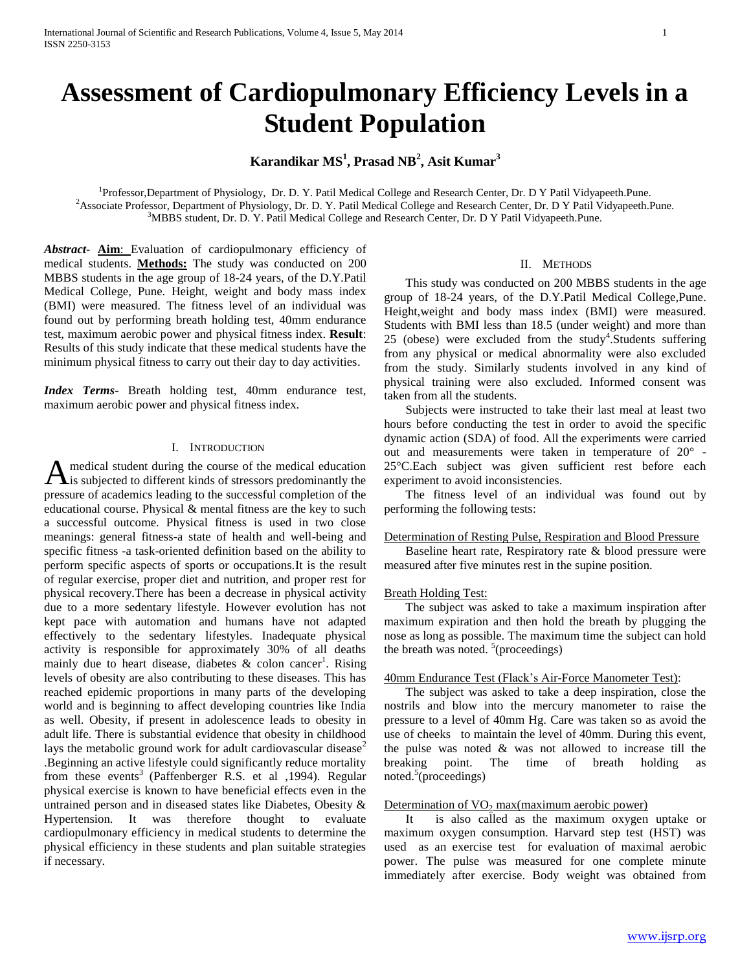# **Assessment of Cardiopulmonary Efficiency Levels in a Student Population**

# **Karandikar MS<sup>1</sup> , Prasad NB<sup>2</sup> , Asit Kumar<sup>3</sup>**

<sup>1</sup>Professor,Department of Physiology, Dr. D. Y. Patil Medical College and Research Center, Dr. D Y Patil Vidyapeeth.Pune. <sup>2</sup>Associate Professor, Department of Physiology, Dr. D. Y. Patil Medical College and Research Center, Dr. D Y Patil Vidyapeeth.Pune. <sup>3</sup>MBBS student, Dr. D. Y. Patil Medical College and Research Center, Dr. D Y Patil Vidyapeeth.Pune.

*Abstract***- Aim**: Evaluation of cardiopulmonary efficiency of medical students. **Methods:** The study was conducted on 200 MBBS students in the age group of 18-24 years, of the D.Y.Patil Medical College, Pune. Height, weight and body mass index (BMI) were measured. The fitness level of an individual was found out by performing breath holding test, 40mm endurance test, maximum aerobic power and physical fitness index. **Result**: Results of this study indicate that these medical students have the minimum physical fitness to carry out their day to day activities.

*Index Terms*- Breath holding test, 40mm endurance test, maximum aerobic power and physical fitness index.

#### I. INTRODUCTION

medical student during the course of the medical education A medical student during the course of the medical education<br>and is subjected to different kinds of stressors predominantly the pressure of academics leading to the successful completion of the educational course. Physical & mental fitness are the key to such a successful outcome. Physical fitness is used in two close meanings: general fitness-a state of health and well-being and specific fitness -a task-oriented definition based on the ability to perform specific aspects of sports or occupations.It is the result of regular exercise, proper diet and nutrition, and proper rest for physical recovery.There has been a decrease in physical activity due to a more sedentary lifestyle. However evolution has not kept pace with automation and humans have not adapted effectively to the sedentary lifestyles. Inadequate physical activity is responsible for approximately 30% of all deaths mainly due to heart disease, diabetes  $\&$  colon cancer<sup>1</sup>. Rising levels of obesity are also contributing to these diseases. This has reached epidemic proportions in many parts of the developing world and is beginning to affect developing countries like India as well. Obesity, if present in adolescence leads to obesity in adult life. There is substantial evidence that obesity in childhood lays the metabolic ground work for adult cardiovascular disease<sup>2</sup> .Beginning an active lifestyle could significantly reduce mortality from these events<sup>3</sup> (Paffenberger R.S. et al , 1994). Regular physical exercise is known to have beneficial effects even in the untrained person and in diseased states like Diabetes, Obesity & Hypertension. It was therefore thought to evaluate cardiopulmonary efficiency in medical students to determine the physical efficiency in these students and plan suitable strategies if necessary.

## II. METHODS

 This study was conducted on 200 MBBS students in the age group of 18-24 years, of the D.Y.Patil Medical College,Pune. Height,weight and body mass index (BMI) were measured. Students with BMI less than 18.5 (under weight) and more than 25 (obese) were excluded from the study<sup>4</sup>. Students suffering from any physical or medical abnormality were also excluded from the study. Similarly students involved in any kind of physical training were also excluded. Informed consent was taken from all the students.

 Subjects were instructed to take their last meal at least two hours before conducting the test in order to avoid the specific dynamic action (SDA) of food. All the experiments were carried out and measurements were taken in temperature of 20° - 25°C.Each subject was given sufficient rest before each experiment to avoid inconsistencies.

 The fitness level of an individual was found out by performing the following tests:

#### Determination of Resting Pulse, Respiration and Blood Pressure

 Baseline heart rate, Respiratory rate & blood pressure were measured after five minutes rest in the supine position.

#### **Breath Holding Test:**

 The subject was asked to take a maximum inspiration after maximum expiration and then hold the breath by plugging the nose as long as possible. The maximum time the subject can hold the breath was noted.  $5$ (proceedings)

## 40mm Endurance Test (Flack's Air-Force Manometer Test):

 The subject was asked to take a deep inspiration, close the nostrils and blow into the mercury manometer to raise the pressure to a level of 40mm Hg. Care was taken so as avoid the use of cheeks to maintain the level of 40mm. During this event, the pulse was noted  $\&$  was not allowed to increase till the breaking point. The time of breath holding as noted.<sup>5</sup>(proceedings)

#### Determination of  $VO<sub>2</sub>$  max(maximum aerobic power)

 It is also called as the maximum oxygen uptake or maximum oxygen consumption. Harvard step test (HST) was used as an exercise test for evaluation of maximal aerobic power. The pulse was measured for one complete minute immediately after exercise. Body weight was obtained from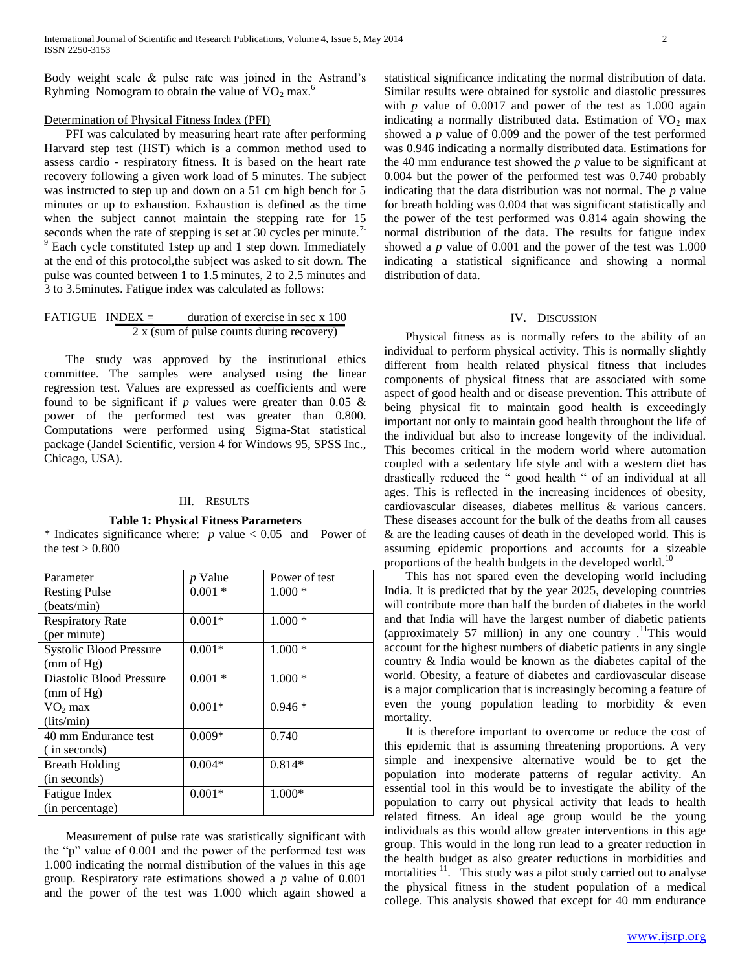Body weight scale & pulse rate was joined in the Astrand's Ryhming Nomogram to obtain the value of  $VO<sub>2</sub>$  max.<sup>6</sup>

#### Determination of Physical Fitness Index (PFI)

 PFI was calculated by measuring heart rate after performing Harvard step test (HST) which is a common method used to assess cardio - respiratory fitness. It is based on the heart rate recovery following a given work load of 5 minutes. The subject was instructed to step up and down on a 51 cm high bench for 5 minutes or up to exhaustion. Exhaustion is defined as the time when the subject cannot maintain the stepping rate for 15 seconds when the rate of stepping is set at 30 cycles per minute.<sup>7-1</sup>  $9^9$  Each cycle constituted 1step up and 1 step down. Immediately at the end of this protocol,the subject was asked to sit down. The pulse was counted between 1 to 1.5 minutes, 2 to 2.5 minutes and 3 to 3.5minutes. Fatigue index was calculated as follows:

**FATIGUE INDEX** = 
$$
\frac{\text{duration of exercise in sec x 100}}{2 \text{ x (sum of pulse counts during recovery)}}
$$

 The study was approved by the institutional ethics committee. The samples were analysed using the linear regression test. Values are expressed as coefficients and were found to be significant if  $p$  values were greater than 0.05  $\&$ power of the performed test was greater than 0.800. Computations were performed using Sigma-Stat statistical package (Jandel Scientific, version 4 for Windows 95, SPSS Inc., Chicago, USA).

#### III. RESULTS

#### **Table 1: Physical Fitness Parameters**

\* Indicates significance where: *p* value < 0.05 and Power of the test  $> 0.800$ 

| Parameter                      | <i>p</i> Value | Power of test |
|--------------------------------|----------------|---------------|
| <b>Resting Pulse</b>           | $0.001*$       | $1.000*$      |
| (beats/min)                    |                |               |
| <b>Respiratory Rate</b>        | $0.001*$       | $1.000*$      |
| (per minute)                   |                |               |
| <b>Systolic Blood Pressure</b> | $0.001*$       | $1.000*$      |
| (mm of Hg)                     |                |               |
| Diastolic Blood Pressure       | $0.001*$       | $1.000*$      |
| (mm of Hg)                     |                |               |
| $VO2$ max                      | $0.001*$       | $0.946*$      |
| (lits/min)                     |                |               |
| 40 mm Endurance test           | $0.009*$       | 0.740         |
| (in seconds)                   |                |               |
| <b>Breath Holding</b>          | $0.004*$       | $0.814*$      |
| (in seconds)                   |                |               |
| Fatigue Index                  | $0.001*$       | 1.000*        |
| (in percentage)                |                |               |

 Measurement of pulse rate was statistically significant with the "p" value of 0.001 and the power of the performed test was 1.000 indicating the normal distribution of the values in this age group. Respiratory rate estimations showed a *p* value of 0.001 and the power of the test was 1.000 which again showed a statistical significance indicating the normal distribution of data. Similar results were obtained for systolic and diastolic pressures with *p* value of 0.0017 and power of the test as 1.000 again indicating a normally distributed data. Estimation of  $VO<sub>2</sub>$  max showed a *p* value of 0.009 and the power of the test performed was 0.946 indicating a normally distributed data. Estimations for the 40 mm endurance test showed the *p* value to be significant at 0.004 but the power of the performed test was 0.740 probably indicating that the data distribution was not normal. The *p* value for breath holding was 0.004 that was significant statistically and the power of the test performed was 0.814 again showing the normal distribution of the data. The results for fatigue index showed a *p* value of 0.001 and the power of the test was 1.000 indicating a statistical significance and showing a normal distribution of data.

#### IV. DISCUSSION

 Physical fitness as is normally refers to the ability of an individual to perform physical activity. This is normally slightly different from health related physical fitness that includes components of physical fitness that are associated with some aspect of good health and or disease prevention. This attribute of being physical fit to maintain good health is exceedingly important not only to maintain good health throughout the life of the individual but also to increase longevity of the individual. This becomes critical in the modern world where automation coupled with a sedentary life style and with a western diet has drastically reduced the " good health " of an individual at all ages. This is reflected in the increasing incidences of obesity, cardiovascular diseases, diabetes mellitus & various cancers. These diseases account for the bulk of the deaths from all causes & are the leading causes of death in the developed world. This is assuming epidemic proportions and accounts for a sizeable proportions of the health budgets in the developed world.<sup>10</sup>

 This has not spared even the developing world including India. It is predicted that by the year 2025, developing countries will contribute more than half the burden of diabetes in the world and that India will have the largest number of diabetic patients (approximately 57 million) in any one country  $\cdot$ <sup>11</sup>This would account for the highest numbers of diabetic patients in any single country & India would be known as the diabetes capital of the world. Obesity, a feature of diabetes and cardiovascular disease is a major complication that is increasingly becoming a feature of even the young population leading to morbidity & even mortality.

 It is therefore important to overcome or reduce the cost of this epidemic that is assuming threatening proportions. A very simple and inexpensive alternative would be to get the population into moderate patterns of regular activity. An essential tool in this would be to investigate the ability of the population to carry out physical activity that leads to health related fitness. An ideal age group would be the young individuals as this would allow greater interventions in this age group. This would in the long run lead to a greater reduction in the health budget as also greater reductions in morbidities and mortalities <sup>11</sup>. This study was a pilot study carried out to analyse the physical fitness in the student population of a medical college. This analysis showed that except for 40 mm endurance